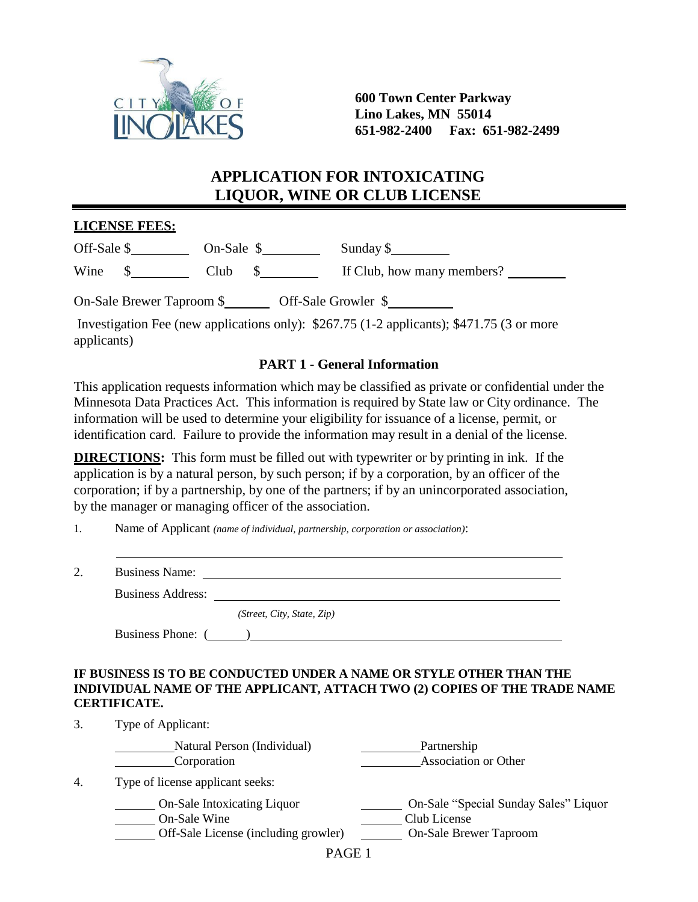

**600 Town Center Parkway Lino Lakes, MN 55014 651-982-2400 Fax: 651-982-2499**

# **APPLICATION FOR INTOXICATING LIQUOR, WINE OR CLUB LICENSE**

## **LICENSE FEES:**

| Off-Sale \$ |                           | $On-Sale$ |                     | Sunday \$                  |
|-------------|---------------------------|-----------|---------------------|----------------------------|
| Wine        |                           | Club      |                     | If Club, how many members? |
|             | On-Sale Brewer Taproom \$ |           | Off-Sale Growler \$ |                            |

Investigation Fee (new applications only): \$267.75 (1-2 applicants); \$471.75 (3 or more applicants)

## **PART 1 - General Information**

This application requests information which may be classified as private or confidential under the Minnesota Data Practices Act. This information is required by State law or City ordinance. The information will be used to determine your eligibility for issuance of a license, permit, or identification card. Failure to provide the information may result in a denial of the license.

**DIRECTIONS:** This form must be filled out with typewriter or by printing in ink. If the application is by a natural person, by such person; if by a corporation, by an officer of the corporation; if by a partnership, by one of the partners; if by an unincorporated association, by the manager or managing officer of the association.

1. Name of Applicant *(name of individual, partnership, corporation or association)*:

| ⌒<br><u>.</u> | <b>Business Name:</b> |  |
|---------------|-----------------------|--|
|               |                       |  |

Business Address:

*(Street, City, State, Zip)*

Business Phone: ( )

## **IF BUSINESS IS TO BE CONDUCTED UNDER A NAME OR STYLE OTHER THAN THE INDIVIDUAL NAME OF THE APPLICANT, ATTACH TWO (2) COPIES OF THE TRADE NAME CERTIFICATE.**

3. Type of Applicant:

|    | Natural Person (Individual)<br>Corporation                                                 | Partnership<br>Association or Other                                                    |
|----|--------------------------------------------------------------------------------------------|----------------------------------------------------------------------------------------|
| 4. | Type of license applicant seeks:                                                           |                                                                                        |
|    | <b>On-Sale Intoxicating Liquor</b><br>On-Sale Wine<br>Off-Sale License (including growler) | On-Sale "Special Sunday Sales" Liquor<br>Club License<br><b>On-Sale Brewer Taproom</b> |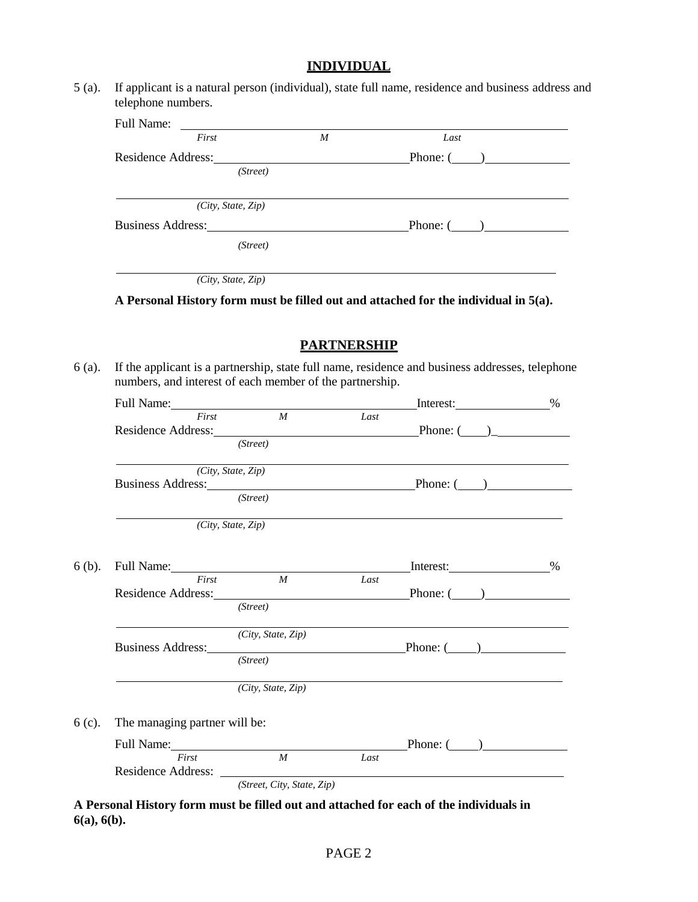## **INDIVIDUAL**

5 (a). If applicant is a natural person (individual), state full name, residence and business address and telephone numbers.

| Full Name: |                          |                  |                 |  |
|------------|--------------------------|------------------|-----------------|--|
|            | First                    | $\boldsymbol{M}$ | Last            |  |
|            | Residence Address:       |                  | Phone: $(\_\_)$ |  |
|            | (Street)                 |                  |                 |  |
|            |                          |                  |                 |  |
|            | (City, State, Zip)       |                  |                 |  |
|            | <b>Business Address:</b> |                  | Phone: $($ )    |  |
|            | (Street)                 |                  |                 |  |
|            | (City, State, Zip)       |                  |                 |  |

**A Personal History form must be filled out and attached for the individual in 5(a).**

## **PARTNERSHIP**

6 (a). If the applicant is a partnership, state full name, residence and business addresses, telephone numbers, and interest of each member of the partnership.

|        | Full Name: 1000 million and 1000 million and 1000 million and 1000 million and 1000 million and 1000 million and 1000 million and 1000 million and 1000 million and 1000 million and 1000 million and 1000 million and 1000 mi |                                 |      | Interest:                                                  | $\%$ |
|--------|--------------------------------------------------------------------------------------------------------------------------------------------------------------------------------------------------------------------------------|---------------------------------|------|------------------------------------------------------------|------|
|        | First                                                                                                                                                                                                                          | M                               | Last |                                                            |      |
|        |                                                                                                                                                                                                                                |                                 |      | Residence Address: Phone: (2012)                           |      |
|        |                                                                                                                                                                                                                                | (Street)                        |      |                                                            |      |
|        |                                                                                                                                                                                                                                | $\overline{(City, State, Zip)}$ |      |                                                            |      |
|        |                                                                                                                                                                                                                                |                                 |      | Business Address: Phone: (2012)                            |      |
|        |                                                                                                                                                                                                                                | (Street)                        |      |                                                            |      |
|        |                                                                                                                                                                                                                                | $\overline{(City, State, Zip)}$ |      | <u> 1989 - Johann Stoff, amerikansk politiker (* 1908)</u> |      |
| 6 (b). |                                                                                                                                                                                                                                |                                 |      |                                                            |      |
|        | First                                                                                                                                                                                                                          | $\boldsymbol{M}$                | Last |                                                            |      |
|        |                                                                                                                                                                                                                                |                                 |      | Residence Address: Phone: (2012)                           |      |
|        |                                                                                                                                                                                                                                | (Street)                        |      |                                                            |      |
|        |                                                                                                                                                                                                                                | (City, State, Zip)              |      |                                                            |      |
|        |                                                                                                                                                                                                                                |                                 |      | Business Address: Phone: (2012)                            |      |
|        |                                                                                                                                                                                                                                |                                 |      |                                                            |      |
|        |                                                                                                                                                                                                                                | (City, State, Zip)              |      |                                                            |      |
| 6 (c). | The managing partner will be:                                                                                                                                                                                                  |                                 |      |                                                            |      |
|        | Full Name: First M Last                                                                                                                                                                                                        |                                 |      | Phone: (                                                   |      |
|        |                                                                                                                                                                                                                                |                                 |      |                                                            |      |
|        |                                                                                                                                                                                                                                |                                 |      |                                                            |      |
|        |                                                                                                                                                                                                                                | (Street, City, State, Zip)      |      |                                                            |      |

**A Personal History form must be filled out and attached for each of the individuals in 6(a), 6(b).**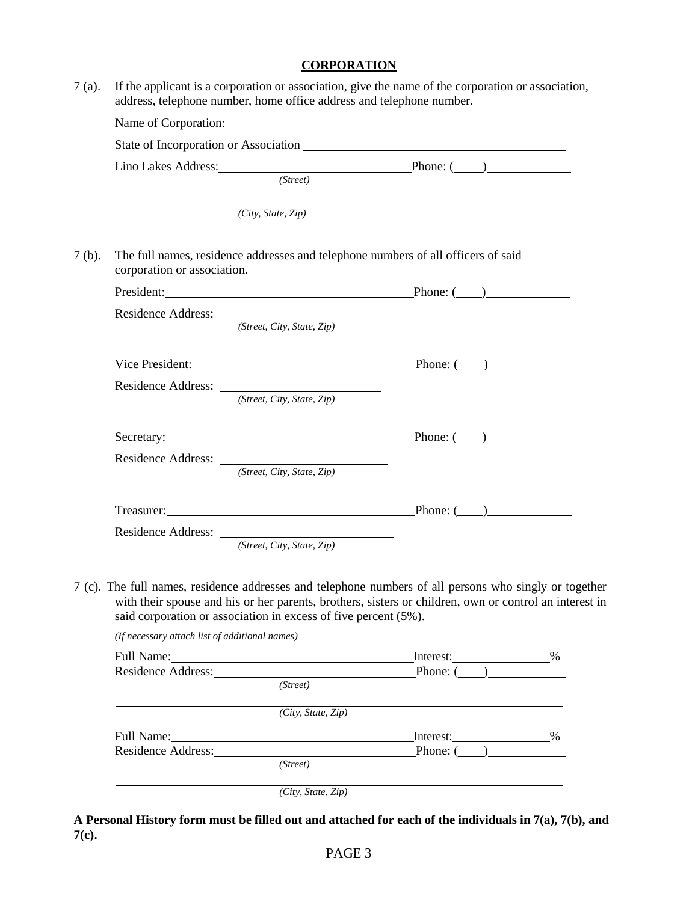#### **CORPORATION**

7 (a). If the applicant is a corporation or association, give the name of the corporation or association, address, telephone number, home office address and telephone number. Name of Corporation: State of Incorporation or Association Lino Lakes Address: Phone: ( ) *(Street) (City, State, Zip)* 7 (b). The full names, residence addresses and telephone numbers of all officers of said corporation or association. President: Phone: ( ) Residence Address: *(Street, City, State, Zip)* Vice President: Phone: (2012) Residence Address: *(Street, City, State, Zip)* Secretary: Phone: ( ) Residence Address: *(Street, City, State, Zip)* Treasurer: Phone: () Residence Address: *(Street, City, State, Zip)* 7 (c). The full names, residence addresses and telephone numbers of all persons who singly or together with their spouse and his or her parents, brothers, sisters or children, own or control an interest in said corporation or association in excess of five percent (5%). *(If necessary attach list of additional names)* Full Name: <u>2000 Martin Communications and the Interest:</u> 2000 Martin Communications and the United States of the Martin Communications of the Martin Communication of the Martin Communications of the Martin Communications Residence Address: Phone: (2014)

| Full Name:         |                    | Interest:    | %    |
|--------------------|--------------------|--------------|------|
| Residence Address: |                    | Phone: $($ ) |      |
|                    | (Street)           |              |      |
|                    | (City, State, Zip) |              |      |
| Full Name:         |                    | Interest:    | $\%$ |
| Residence Address: |                    | Phone: (     |      |
|                    | (Street)           |              |      |

*(City, State, Zip)*

**A Personal History form must be filled out and attached for each of the individuals in 7(a), 7(b), and 7(c).**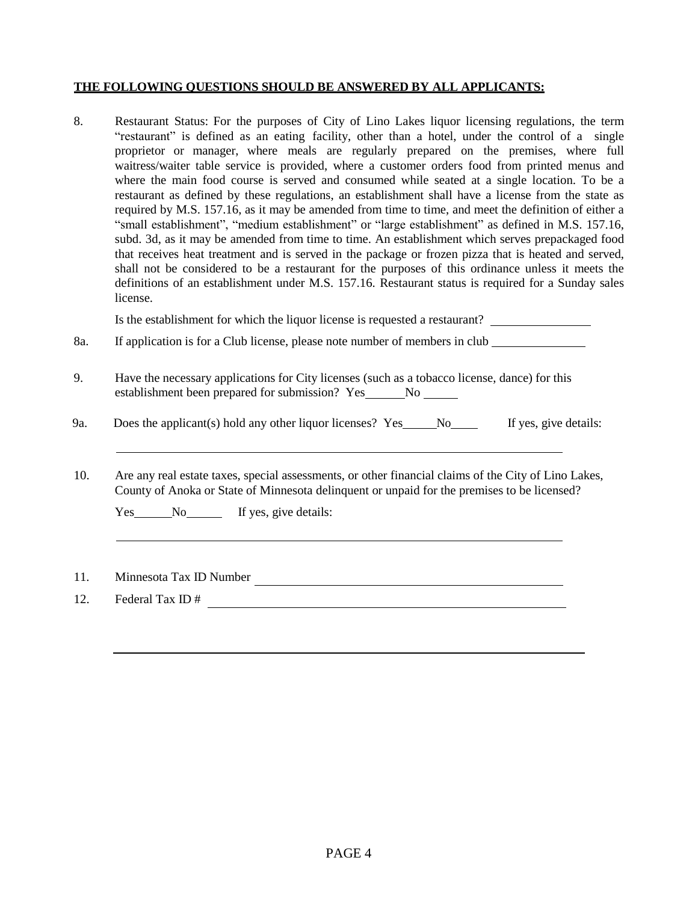#### **THE FOLLOWING QUESTIONS SHOULD BE ANSWERED BY ALL APPLICANTS:**

8. Restaurant Status: For the purposes of City of Lino Lakes liquor licensing regulations, the term "restaurant" is defined as an eating facility, other than a hotel, under the control of a single proprietor or manager, where meals are regularly prepared on the premises, where full waitress/waiter table service is provided, where a customer orders food from printed menus and where the main food course is served and consumed while seated at a single location. To be a restaurant as defined by these regulations, an establishment shall have a license from the state as required by M.S. 157.16, as it may be amended from time to time, and meet the definition of either a "small establishment", "medium establishment" or "large establishment" as defined in M.S. 157.16, subd. 3d, as it may be amended from time to time. An establishment which serves prepackaged food that receives heat treatment and is served in the package or frozen pizza that is heated and served, shall not be considered to be a restaurant for the purposes of this ordinance unless it meets the definitions of an establishment under M.S. 157.16. Restaurant status is required for a Sunday sales license.

Is the establishment for which the liquor license is requested a restaurant?

8a. If application is for a Club license, please note number of members in club

- 9. Have the necessary applications for City licenses (such as a tobacco license, dance) for this establishment been prepared for submission? Yes No No
- 9a. Does the applicant(s) hold any other liquor licenses? Yes No If yes, give details:
- 10. Are any real estate taxes, special assessments, or other financial claims of the City of Lino Lakes, County of Anoka or State of Minnesota delinquent or unpaid for the premises to be licensed?

| <b>Yes</b> | No | If yes, give details: |
|------------|----|-----------------------|
|            |    |                       |

11. Minnesota Tax ID Number

12. Federal Tax ID  $^{\#}$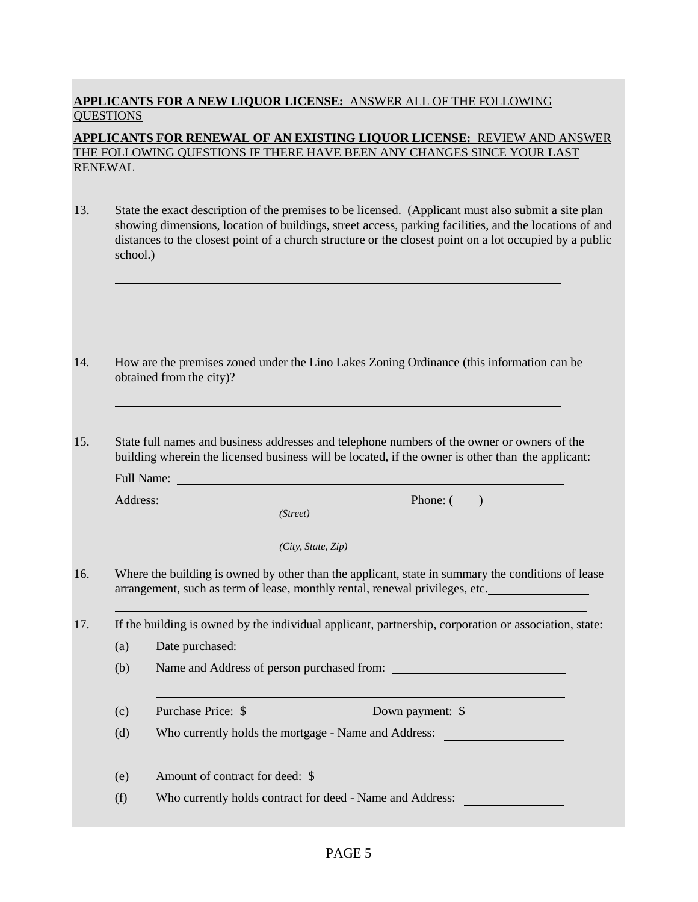## **APPLICANTS FOR A NEW LIQUOR LICENSE:** ANSWER ALL OF THE FOLLOWING **OUESTIONS**

## **APPLICANTS FOR RENEWAL OF AN EXISTING LIQUOR LICENSE:** REVIEW AND ANSWER THE FOLLOWING QUESTIONS IF THERE HAVE BEEN ANY CHANGES SINCE YOUR LAST RENEWAL

- 13. State the exact description of the premises to be licensed. (Applicant must also submit a site plan showing dimensions, location of buildings, street access, parking facilities, and the locations of and distances to the closest point of a church structure or the closest point on a lot occupied by a public school.)
- 14. How are the premises zoned under the Lino Lakes Zoning Ordinance (this information can be obtained from the city)?
- 15. State full names and business addresses and telephone numbers of the owner or owners of the building wherein the licensed business will be located, if the owner is other than the applicant:

Full Name:

Address: Phone: ( )

*(Street)*

*(City, State, Zip)*

16. Where the building is owned by other than the applicant, state in summary the conditions of lease arrangement, such as term of lease, monthly rental, renewal privileges, etc.

17. If the building is owned by the individual applicant, partnership, corporation or association, state:

(a) Date purchased:

(b) Name and Address of person purchased from:

(c) Purchase Price: \$ Down payment: \$

(d) Who currently holds the mortgage - Name and Address:

(e) Amount of contract for deed: \$

(f) Who currently holds contract for deed - Name and Address: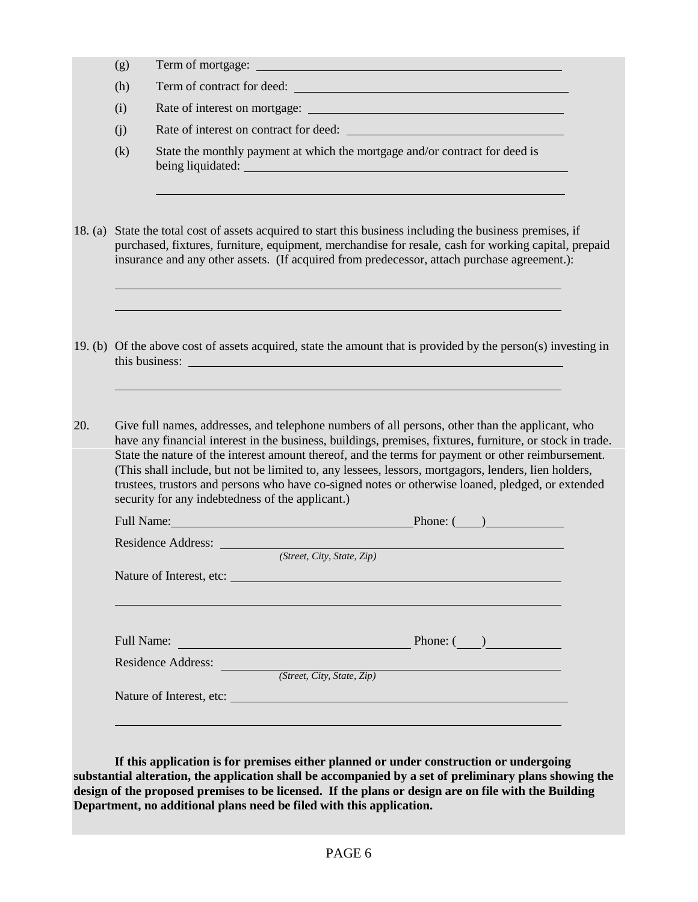|     | (g)        |                                                                                                                                                                                                                                                                                                                                                                                                                                                                                                                                 |
|-----|------------|---------------------------------------------------------------------------------------------------------------------------------------------------------------------------------------------------------------------------------------------------------------------------------------------------------------------------------------------------------------------------------------------------------------------------------------------------------------------------------------------------------------------------------|
|     | (h)        | Term of contract for deed:                                                                                                                                                                                                                                                                                                                                                                                                                                                                                                      |
|     | (i)        |                                                                                                                                                                                                                                                                                                                                                                                                                                                                                                                                 |
|     | (i)        | Rate of interest on contract for deed:                                                                                                                                                                                                                                                                                                                                                                                                                                                                                          |
|     | (k)        | State the monthly payment at which the mortgage and/or contract for deed is<br>being liquidated: experience of the state of the state of the state of the state of the state of the state of the state of the state of the state of the state of the state of the state of the state of the state of the stat                                                                                                                                                                                                                   |
|     |            | 18. (a) State the total cost of assets acquired to start this business including the business premises, if<br>purchased, fixtures, furniture, equipment, merchandise for resale, cash for working capital, prepaid<br>insurance and any other assets. (If acquired from predecessor, attach purchase agreement.):                                                                                                                                                                                                               |
|     |            |                                                                                                                                                                                                                                                                                                                                                                                                                                                                                                                                 |
|     |            | 19. (b) Of the above cost of assets acquired, state the amount that is provided by the person(s) investing in                                                                                                                                                                                                                                                                                                                                                                                                                   |
| 20. |            | Give full names, addresses, and telephone numbers of all persons, other than the applicant, who<br>have any financial interest in the business, buildings, premises, fixtures, furniture, or stock in trade.<br>State the nature of the interest amount thereof, and the terms for payment or other reimbursement.<br>(This shall include, but not be limited to, any lessees, lessors, mortgagors, lenders, lien holders,<br>trustees, trustors and persons who have co-signed notes or otherwise loaned, pledged, or extended |
|     |            | security for any indebtedness of the applicant.)                                                                                                                                                                                                                                                                                                                                                                                                                                                                                |
|     |            | Full Name: Phone: Phone: Phone: (2014)                                                                                                                                                                                                                                                                                                                                                                                                                                                                                          |
|     |            | Residence Address:<br>(Street, City, State, Zip)                                                                                                                                                                                                                                                                                                                                                                                                                                                                                |
|     |            | Nature of Interest, etc:                                                                                                                                                                                                                                                                                                                                                                                                                                                                                                        |
|     |            |                                                                                                                                                                                                                                                                                                                                                                                                                                                                                                                                 |
|     | Full Name: | Phone: $\begin{pmatrix} 1 & 1 \\ 1 & 1 \end{pmatrix}$<br><u> 1980 - Johann Barbara, martxa amerikan personal (</u>                                                                                                                                                                                                                                                                                                                                                                                                              |
|     |            | Residence Address: (Street, City, State, Zip)                                                                                                                                                                                                                                                                                                                                                                                                                                                                                   |

**If this application is for premises either planned or under construction or undergoing substantial alteration, the application shall be accompanied by a set of preliminary plans showing the design of the proposed premises to be licensed. If the plans or design are on file with the Building Department, no additional plans need be filed with this application.**